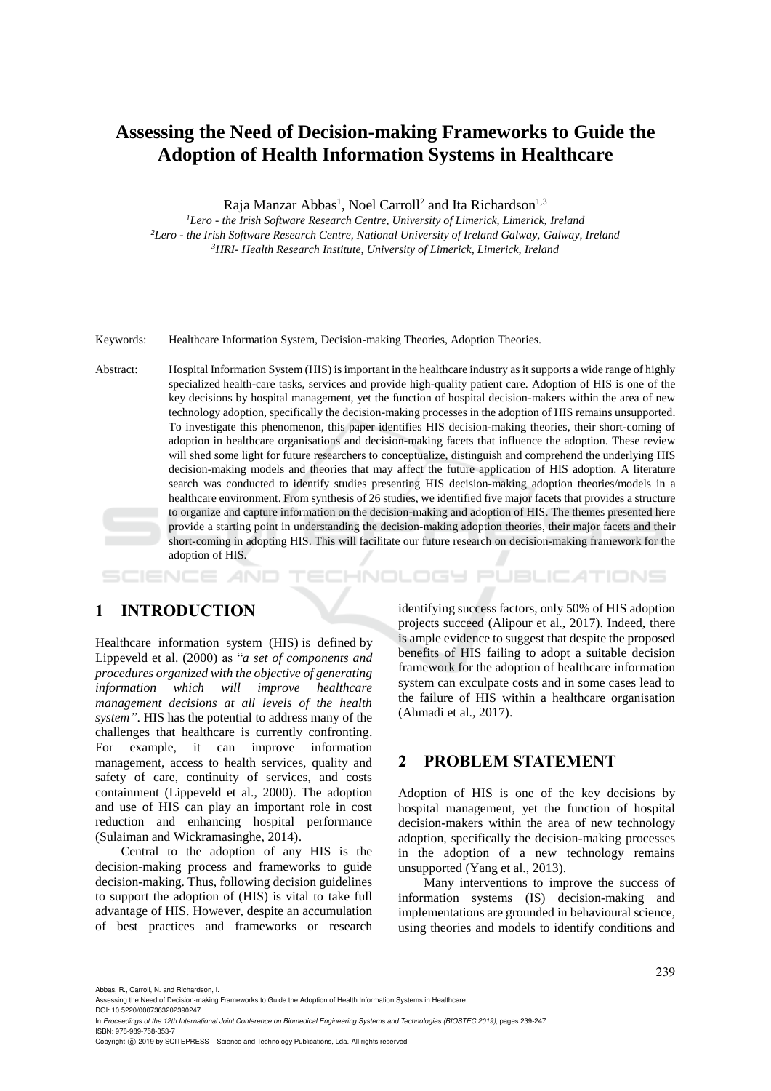# **Assessing the Need of Decision-making Frameworks to Guide the Adoption of Health Information Systems in Healthcare**

Raja Manzar Abbas<sup>1</sup>, Noel Carroll<sup>2</sup> and Ita Richardson<sup>1,3</sup>

*<sup>1</sup>Lero - the Irish Software Research Centre, University of Limerick, Limerick, Ireland <sup>2</sup>Lero - the Irish Software Research Centre, National University of Ireland Galway, Galway, Ireland <sup>3</sup>HRI- Health Research Institute, University of Limerick, Limerick, Ireland*

Keywords: Healthcare Information System, Decision-making Theories, Adoption Theories.

Abstract: Hospital Information System (HIS) is important in the healthcare industry as it supports a wide range of highly specialized health-care tasks, services and provide high-quality patient care. Adoption of HIS is one of the key decisions by hospital management, yet the function of hospital decision-makers within the area of new technology adoption, specifically the decision-making processes in the adoption of HIS remains unsupported. To investigate this phenomenon, this paper identifies HIS decision-making theories, their short-coming of adoption in healthcare organisations and decision-making facets that influence the adoption. These review will shed some light for future researchers to conceptualize, distinguish and comprehend the underlying HIS decision-making models and theories that may affect the future application of HIS adoption. A literature search was conducted to identify studies presenting HIS decision-making adoption theories/models in a healthcare environment. From synthesis of 26 studies, we identified five major facets that provides a structure to organize and capture information on the decision-making and adoption of HIS. The themes presented here provide a starting point in understanding the decision-making adoption theories, their major facets and their short-coming in adopting HIS. This will facilitate our future research on decision-making framework for the adoption of HIS.

HNOLOGY PUBLICATIONS

# **1 INTRODUCTION**

Healthcare information system (HIS) is defined by Lippeveld et al. (2000) as "*a set of components and procedures organized with the objective of generating information which will improve healthcare management decisions at all levels of the health system"*. HIS has the potential to address many of the challenges that healthcare is currently confronting. For example, it can improve information management, access to health services, quality and safety of care, continuity of services, and costs containment (Lippeveld et al., 2000). The adoption and use of HIS can play an important role in cost reduction and enhancing hospital performance (Sulaiman and Wickramasinghe, 2014).

Central to the adoption of any HIS is the decision-making process and frameworks to guide decision-making. Thus, following decision guidelines to support the adoption of (HIS) is vital to take full advantage of HIS. However, despite an accumulation of best practices and frameworks or research

identifying success factors, only 50% of HIS adoption projects succeed (Alipour et al., 2017). Indeed, there is ample evidence to suggest that despite the proposed benefits of HIS failing to adopt a suitable decision framework for the adoption of healthcare information system can exculpate costs and in some cases lead to the failure of HIS within a healthcare organisation (Ahmadi et al., 2017).

### **2 PROBLEM STATEMENT**

Adoption of HIS is one of the key decisions by hospital management, yet the function of hospital decision-makers within the area of new technology adoption, specifically the decision-making processes in the adoption of a new technology remains unsupported (Yang et al., 2013).

Many interventions to improve the success of information systems (IS) decision-making and implementations are grounded in behavioural science, using theories and models to identify conditions and

Abbas, R., Carroll, N. and Richardson, I.

Assessing the Need of Decision-making Frameworks to Guide the Adoption of Health Information Systems in Healthcare. DOI: 10.5220/0007363202390247

In *Proceedings of the 12th International Joint Conference on Biomedical Engineering Systems and Technologies (BIOSTEC 2019)*, pages 239-247 ISBN: 978-989-758-353-7

Copyright (C) 2019 by SCITEPRESS - Science and Technology Publications, Lda. All rights reserved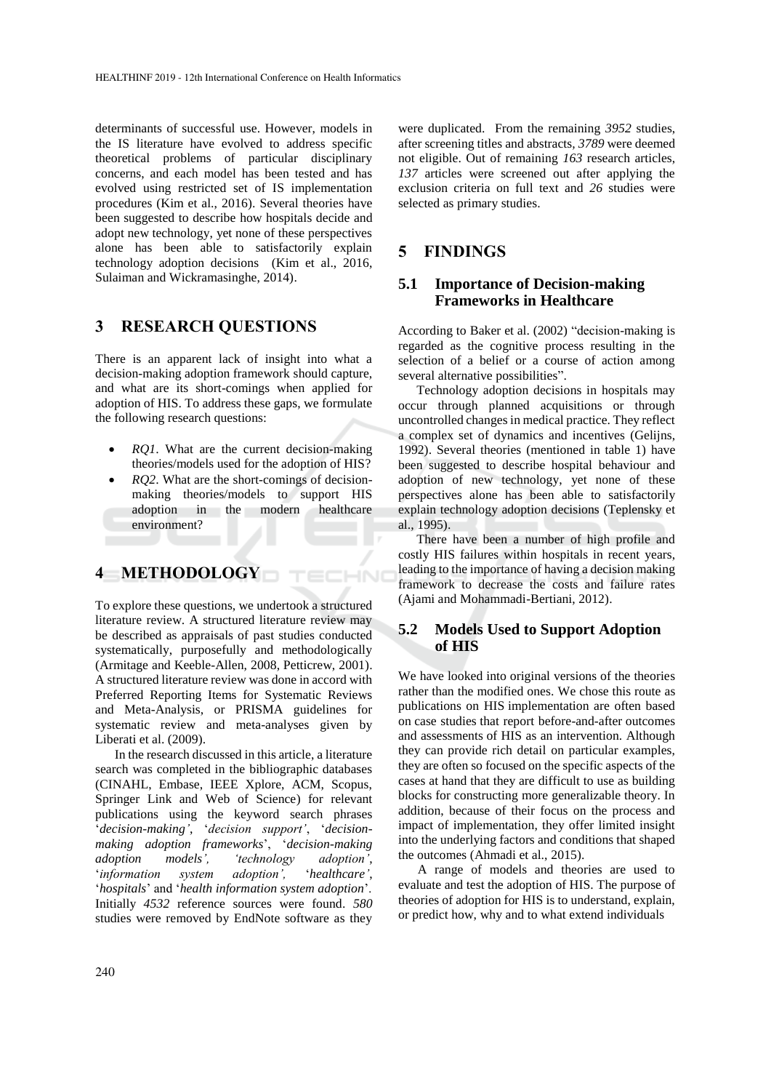determinants of successful use. However, models in the IS literature have evolved to address specific theoretical problems of particular disciplinary concerns, and each model has been tested and has evolved using restricted set of IS implementation procedures (Kim et al., 2016). Several theories have been suggested to describe how hospitals decide and adopt new technology, yet none of these perspectives alone has been able to satisfactorily explain technology adoption decisions (Kim et al., 2016, Sulaiman and Wickramasinghe, 2014).

### **3 RESEARCH QUESTIONS**

There is an apparent lack of insight into what a decision-making adoption framework should capture, and what are its short-comings when applied for adoption of HIS. To address these gaps, we formulate the following research questions:

- *RQ1*. What are the current decision-making theories/models used for the adoption of HIS?
- *RQ2*. What are the short-comings of decisionmaking theories/models to support HIS adoption in the modern healthcare environment?

ECHNI

# **4 METHODOLOGY**

To explore these questions, we undertook a structured literature review. A structured literature review may be described as appraisals of past studies conducted systematically, purposefully and methodologically (Armitage and Keeble-Allen, 2008, Petticrew, 2001). A structured literature review was done in accord with Preferred Reporting Items for Systematic Reviews and Meta-Analysis, or PRISMA guidelines for systematic review and meta-analyses given by Liberati et al. (2009).

In the research discussed in this article, a literature search was completed in the bibliographic databases (CINAHL, Embase, IEEE Xplore, ACM, Scopus, Springer Link and Web of Science) for relevant publications using the keyword search phrases '*decision-making'*, '*decision support'*, '*decisionmaking adoption frameworks*', '*decision-making adoption models', 'technology adoption'*, '*information system adoption',* '*healthcare'*, '*hospitals*' and '*health information system adoption*'. Initially *4532* reference sources were found. *580* studies were removed by EndNote software as they

were duplicated. From the remaining *3952* studies, after screening titles and abstracts*, 3789* were deemed not eligible. Out of remaining *163* research articles, *137* articles were screened out after applying the exclusion criteria on full text and *26* studies were selected as primary studies.

### **5 FINDINGS**

#### **5.1 Importance of Decision-making Frameworks in Healthcare**

According to Baker et al. (2002) "decision-making is regarded as the cognitive process resulting in the selection of a belief or a course of action among several alternative possibilities".

Technology adoption decisions in hospitals may occur through planned acquisitions or through uncontrolled changes in medical practice. They reflect a complex set of dynamics and incentives (Gelijns, 1992). Several theories (mentioned in table 1) have been suggested to describe hospital behaviour and adoption of new technology, yet none of these perspectives alone has been able to satisfactorily explain technology adoption decisions (Teplensky et al., 1995).

There have been a number of high profile and costly HIS failures within hospitals in recent years, leading to the importance of having a decision making framework to decrease the costs and failure rates (Ajami and Mohammadi-Bertiani, 2012).

#### **5.2 Models Used to Support Adoption of HIS**

We have looked into original versions of the theories rather than the modified ones. We chose this route as publications on HIS implementation are often based on case studies that report before-and-after outcomes and assessments of HIS as an intervention. Although they can provide rich detail on particular examples, they are often so focused on the specific aspects of the cases at hand that they are difficult to use as building blocks for constructing more generalizable theory. In addition, because of their focus on the process and impact of implementation, they offer limited insight into the underlying factors and conditions that shaped the outcomes (Ahmadi et al., 2015).

A range of models and theories are used to evaluate and test the adoption of HIS. The purpose of theories of adoption for HIS is to understand, explain, or predict how, why and to what extend individuals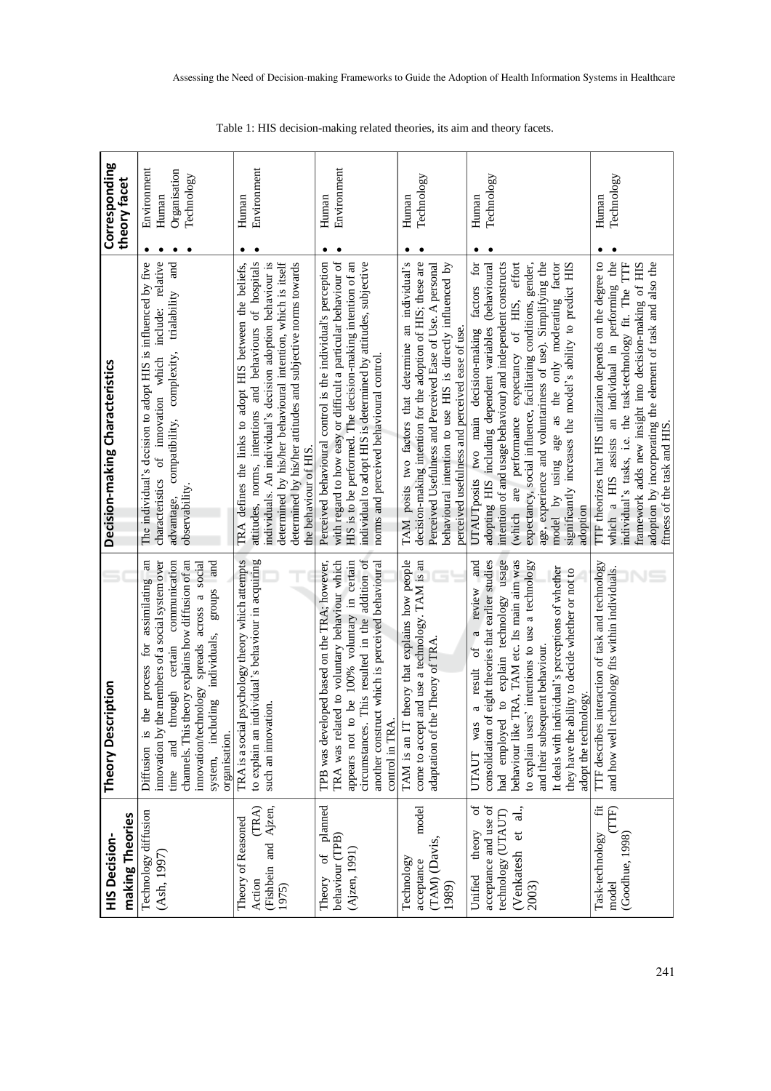| making Theories<br><b>HIS Decision-</b>                                                                             | Theory Description                                                                                                                                                                                                                                                                                                                                                                                                                    | Decision-making Characteristics                                                                                                                                                                                                                                                                                                                                                                                                                                                               | Corresponding<br>theory facet                                   |
|---------------------------------------------------------------------------------------------------------------------|---------------------------------------------------------------------------------------------------------------------------------------------------------------------------------------------------------------------------------------------------------------------------------------------------------------------------------------------------------------------------------------------------------------------------------------|-----------------------------------------------------------------------------------------------------------------------------------------------------------------------------------------------------------------------------------------------------------------------------------------------------------------------------------------------------------------------------------------------------------------------------------------------------------------------------------------------|-----------------------------------------------------------------|
| Technology diffusion<br>(Ash, 1997                                                                                  | innovation by the members of a social system over<br>channels. This theory explains how diffusion of an<br>communication<br>the process for assimilating an<br>innovation/technology spreads across a social<br>groups and<br>including individuals,<br>certain<br>through<br>organisation.<br>Diffusion is<br>and<br>system,<br>time                                                                                                 | include: relative<br>The individual's decision to adopt HIS is influenced by five<br>and<br>trialability<br>compatibility, complexity,<br>characteristics of innovation which<br>observability<br>advantage,                                                                                                                                                                                                                                                                                  | Environment<br>Organisation<br>Technology<br>Human<br>$\bullet$ |
| (TRA)<br>(Fishbein and Ajzen,<br>Theory of Reasoned<br>Action<br>1975)                                              | to explain an individual's behaviour in acquiring<br>TRA is a social psychology theory which attempts<br>such an innovation.                                                                                                                                                                                                                                                                                                          | attitudes, norms, intentions and behaviours of hospitals<br>determined by his/her behavioural intention, which is itself<br>individuals. An individual's decision adoption behaviour is<br>determined by his/her attitudes and subjective norms towards<br>TRA defines the links to adopt HIS between the beliefs,<br>the behaviour of HIS.                                                                                                                                                   | Environment<br>Human<br>٠<br>٠                                  |
| planned<br>behaviour (TPB)<br>Theory of<br>(Ajzen, 1991                                                             | circumstances. This resulted in the addition of<br>TRA was related to voluntary behaviour which<br>o be 100% voluntary in certain<br>TPB was developed based on the TRA; however,<br>another construct which is perceived behavioural<br>control in TRA<br>appears not t                                                                                                                                                              | with regard to how easy or difficult a particular behaviour of<br>Perceived behavioural control is the individual's perception<br>individual to adopt HIS is determined by attitudes, subjective<br>HIS is to be performed. The decision-making intention of an<br>norms and perceived behavioural control.                                                                                                                                                                                   | Environment<br>Human<br>٠<br>٠                                  |
| model<br>(TAM) (Davis,<br>Technology<br>acceptance<br>1989)                                                         | TAM is an IT theory that explains how people<br>come to accept and use a technology. TAM is an<br>adaptation of the Theory of TRA                                                                                                                                                                                                                                                                                                     | TAM posits two factors that determine an individual's<br>decision-making intention for the adoption of HIS; these are<br>Perceived Usefulness and Perceived Ease of Use. A personal<br>behavioural intention to use HIS is directly influenced by<br>perceived usefulness and perceived ease of use.                                                                                                                                                                                          | Technology<br>Human<br>٠<br>٠                                   |
| ð<br>acceptance and use of<br>$\overline{a}$ .<br>technology (UTAUT)<br>(Venkatesh et<br>theory<br>Unified<br>2003) | had employed to explain technology usage<br>behaviour like TRA, TAM etc. Its main aim was<br>consolidation of eight theories that earlier studies<br>a review and<br>to explain users' intentions to use a technology<br>It deals with individual's perceptions of whether<br>they have the ability to decide whether or not to<br>$\sigma f$<br>and their subsequent behaviour.<br>a result<br>adopt the technology.<br>was<br>UTAUT | intention of and usage behaviour) and independent constructs<br>(which are performance expectancy of HIS, effort<br>expectancy, social influence, facilitating conditions, gender,<br>age, experience and voluntariness of use). Simplifying the<br>UTAUTposits two main decision-making factors for<br>adopting HIS including dependent variables (behavioural<br>model by using age as the only moderating factor<br>significantly increases the model's ability to predict HIS<br>adoption | Technology<br>Human<br>٠                                        |
| $\ddot{\Xi}$<br>TTF)<br>Task-technology<br>(Goodhue, 1998)<br>$_{\rm model}$                                        | TTF describes interaction of task and technology<br>and how well technology fits within individuals.                                                                                                                                                                                                                                                                                                                                  | adoption by incorporating the element of task and also the fitness of the task and HIS.<br>TTF theorizes that HIS utilization depends on the degree to<br>which a HIS assists an individual in performing the<br>individual's tasks, i.e. the task-technology fit. The TTF<br>framework adds new insight into decision-making of HIS                                                                                                                                                          | Technology<br>Human                                             |

Assessing the Need of Decision-making Frameworks to Guide the Adoption of Health Information Systems in Healthcare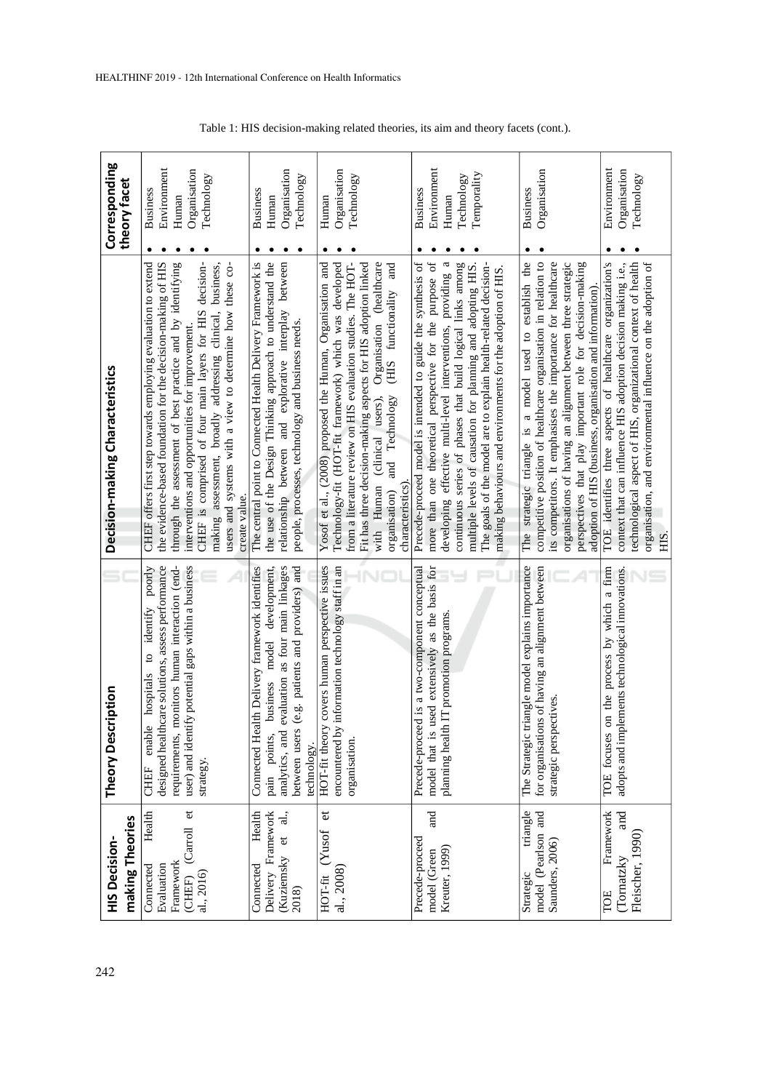| making Theories<br><b>HIS Decision-</b>                                                        | Theory Description                                                                                                                                                                                                                 | Decision-making Characteristics                                                                                                                                                                                                                                                                                                                                                                                                                         | Corresponding<br>theory facet                                              |
|------------------------------------------------------------------------------------------------|------------------------------------------------------------------------------------------------------------------------------------------------------------------------------------------------------------------------------------|---------------------------------------------------------------------------------------------------------------------------------------------------------------------------------------------------------------------------------------------------------------------------------------------------------------------------------------------------------------------------------------------------------------------------------------------------------|----------------------------------------------------------------------------|
| $\sigma$<br>Health<br>(Carroll<br>Framework<br>Evaluation<br>Connected<br>al., 2016)<br>(CHEF) | monitors human interaction (end-<br>user) and identify potential gaps within a business<br>to identify poorly<br>designed healthcare solutions, assess performance<br>enable hospitals<br>requirements,<br>strategy.<br>CHEF       | the evidence-based foundation for the decision-making of HIS<br>through the assessment of best practice and by identifying<br>decision-<br>CHEF offers first step towards employing evaluation to extend<br>making assessment, broadly addressing clinical, business,<br>users and systems with a view to determine how these co-<br>CHEF is comprised of four main layers for HIS<br>interventions and opportunities for improvement.<br>create value. | Environment<br>Organisation<br>Technology<br><b>Business</b><br>Human<br>٠ |
| Health<br>Delivery Framework<br>$\frac{1}{d}$<br>(Kuziemsky et<br>Connected<br>2018)           | alth Delivery framework identifies<br>evaluation as four main linkages<br>development,<br>(e.g. patients and providers) and<br>model<br>business<br>Connected He<br>analytics, and<br>between users<br>pain points,<br>technology. | the use of the Design Thinking approach to understand the<br>The central point to Connected Health Delivery Framework is<br>relationship between and explorative interplay between<br>people, processes, technology and business needs.                                                                                                                                                                                                                 | Organisation<br>Technology<br><b>Business</b><br>Human                     |
| đ<br>HOT-fit (Yusof<br>al., 2008)                                                              | HOT-fit theory covers human perspective issues<br>encountered by information technology staff in an<br>organisation.                                                                                                               | Yosof et al., (2008) proposed the Human, Organisation and<br>Organisation (healthcare<br>Technology-fit (HOT-fit framework) which was developed<br>from a literature review on HIS evaluation studies. The HOT-<br>Fit has three decision-making aspects for HIS adoption linked<br>and<br>(HIS functionality<br>with Human (clinical users),<br>and Technology<br>characteristics)<br>organisation)                                                    | Organisation<br>Technology<br>Human                                        |
| and<br>Precede-proceed<br>Kreuter, 1999)<br>model (Green                                       | model that is used extensively as the basis for<br>ed is a two-component conceptual<br>planning health IT promotion programs.<br>Precede-proce                                                                                     | more than one theoretical perspective for the purpose of<br>multiple levels of causation for planning and adopting HIS.<br>Precede-proceed model is intended to guide the synthesis of<br>developing effective multi-level interventions, providing a<br>The goals of the model are to explain health-related decision-<br>continuous series of phases that build logical links among<br>making behaviours and environments for the adoption of HIS.    | Environment<br>Temporality<br>Technology<br><b>Business</b><br>Human       |
| model (Pearlson and<br>triangle<br>Saunders, 2006)<br>Strategic                                | triangle model explains importance<br>for organisations of having an alignment between<br>ectives<br>strategic persp<br>The Strategic                                                                                              | competitive position of healthcare organisation in relation to<br>strategic triangle is a model used to establish the<br>its competitors. It emphasises the importance for healthcare<br>organisations of having an alignment between three strategic<br>perspectives that play important role for decision-making<br>adoption of HIS (business, organisation and information).<br>The                                                                  | Organisation<br><b>Business</b>                                            |
| Framework<br>and<br>Fleischer, 1990)<br>(Tornatzky<br>TOE                                      | on the process by which a firm<br>adopts and implements technological innovations<br>TOE focuses                                                                                                                                   | organisation, and environmental influence on the adoption of<br>TOE identifies three aspects of healthcare organization's<br>context that can influence HIS adoption decision making i.e.,<br>technological aspect of HIS, organizational context of health<br>HIS.                                                                                                                                                                                     | Environment<br>Organisation<br>Technology                                  |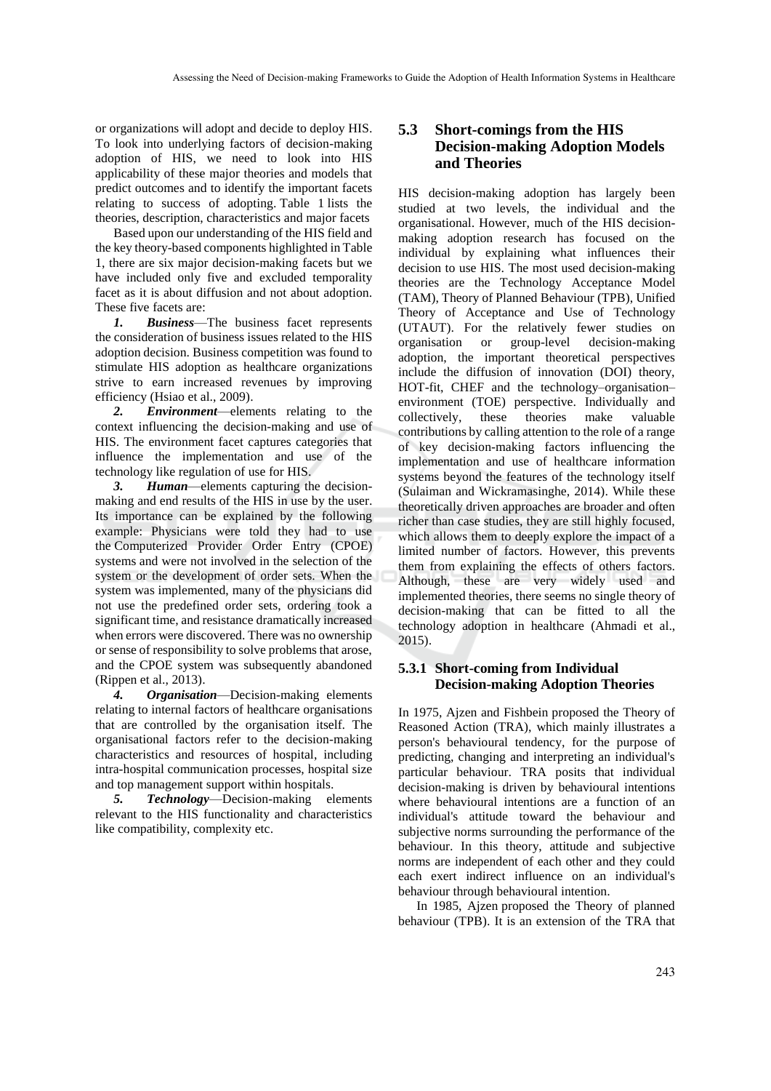or organizations will adopt and decide to deploy HIS. To look into underlying factors of decision-making adoption of HIS, we need to look into HIS applicability of these major theories and models that predict outcomes and to identify the important facets relating to success of adopting. Table 1 lists the theories, description, characteristics and major facets

Based upon our understanding of the HIS field and the key theory-based components highlighted in Table 1, there are six major decision-making facets but we have included only five and excluded temporality facet as it is about diffusion and not about adoption. These five facets are:

*1. Business*—The business facet represents the consideration of business issues related to the HIS adoption decision. Business competition was found to stimulate HIS adoption as healthcare organizations strive to earn increased revenues by improving efficiency (Hsiao et al., 2009).

*2. Environment*—elements relating to the context influencing the decision-making and use of HIS. The environment facet captures categories that influence the implementation and use of the technology like regulation of use for HIS.

*3. Human*—elements capturing the decisionmaking and end results of the HIS in use by the user. Its importance can be explained by the following example: Physicians were told they had to use the Computerized Provider Order Entry (CPOE) systems and were not involved in the selection of the system or the development of order sets. When the system was implemented, many of the physicians did not use the predefined order sets, ordering took a significant time, and resistance dramatically increased when errors were discovered. There was no ownership or sense of responsibility to solve problems that arose, and the CPOE system was subsequently abandoned (Rippen et al., 2013).

*4. Organisation*—Decision-making elements relating to internal factors of healthcare organisations that are controlled by the organisation itself. The organisational factors refer to the decision-making characteristics and resources of hospital, including intra-hospital communication processes, hospital size and top management support within hospitals.

*5. Technology*—Decision-making elements relevant to the HIS functionality and characteristics like compatibility, complexity etc.

#### **5.3 Short-comings from the HIS Decision-making Adoption Models and Theories**

HIS decision-making adoption has largely been studied at two levels, the individual and the organisational. However, much of the HIS decisionmaking adoption research has focused on the individual by explaining what influences their decision to use HIS. The most used decision-making theories are the Technology Acceptance Model (TAM), Theory of Planned Behaviour (TPB), Unified Theory of Acceptance and Use of Technology (UTAUT). For the relatively fewer studies on organisation or group-level decision-making adoption, the important theoretical perspectives include the diffusion of innovation (DOI) theory, HOT-fit, CHEF and the technology–organisation– environment (TOE) perspective. Individually and collectively, these theories make valuable contributions by calling attention to the role of a range of key decision-making factors influencing the implementation and use of healthcare information systems beyond the features of the technology itself (Sulaiman and Wickramasinghe, 2014). While these theoretically driven approaches are broader and often richer than case studies, they are still highly focused, which allows them to deeply explore the impact of a limited number of factors. However, this prevents them from explaining the effects of others factors. Although, these are very widely used and implemented theories, there seems no single theory of decision-making that can be fitted to all the technology adoption in healthcare (Ahmadi et al., 2015).

#### **5.3.1 Short-coming from Individual Decision-making Adoption Theories**

In 1975, Ajzen and Fishbein proposed the Theory of Reasoned Action (TRA), which mainly illustrates a person's behavioural tendency, for the purpose of predicting, changing and interpreting an individual's particular behaviour. TRA posits that individual decision-making is driven by behavioural intentions where behavioural intentions are a function of an individual's attitude toward the behaviour and subjective norms surrounding the performance of the behaviour. In this theory, attitude and subjective norms are independent of each other and they could each exert indirect influence on an individual's behaviour through behavioural intention.

In 1985, Ajzen proposed the Theory of planned behaviour (TPB). It is an extension of the TRA that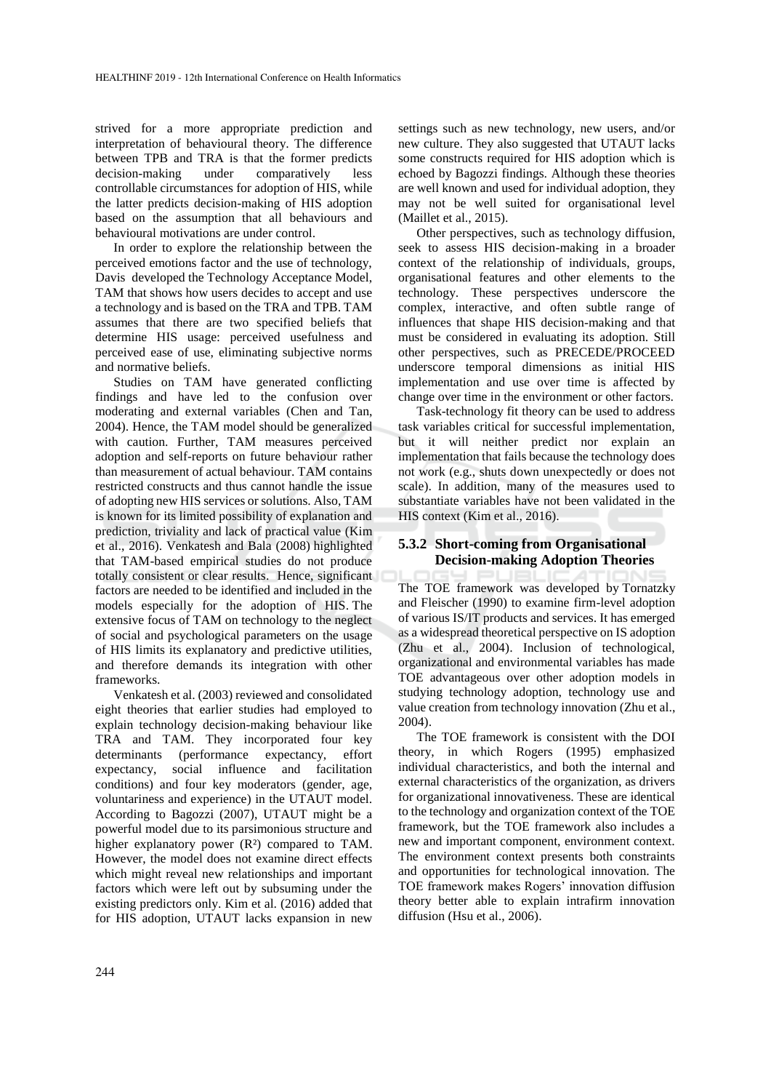strived for a more appropriate prediction and interpretation of behavioural theory. The difference between TPB and TRA is that the former predicts decision-making under comparatively less controllable circumstances for adoption of HIS, while the latter predicts decision-making of HIS adoption based on the assumption that all behaviours and behavioural motivations are under control.

In order to explore the relationship between the perceived emotions factor and the use of technology, Davis developed the Technology Acceptance Model, TAM that shows how users decides to accept and use a technology and is based on the TRA and TPB. TAM assumes that there are two specified beliefs that determine HIS usage: perceived usefulness and perceived ease of use, eliminating subjective norms and normative beliefs.

Studies on TAM have generated conflicting findings and have led to the confusion over moderating and external variables (Chen and Tan, 2004). Hence, the TAM model should be generalized with caution. Further, TAM measures perceived adoption and self-reports on future behaviour rather than measurement of actual behaviour. TAM contains restricted constructs and thus cannot handle the issue of adopting new HIS services or solutions. Also, TAM is known for its limited possibility of explanation and prediction, triviality and lack of practical value (Kim et al., 2016). Venkatesh and Bala (2008) highlighted that TAM-based empirical studies do not produce totally consistent or clear results. Hence, significant factors are needed to be identified and included in the models especially for the adoption of HIS. The extensive focus of TAM on technology to the neglect of social and psychological parameters on the usage of HIS limits its explanatory and predictive utilities, and therefore demands its integration with other frameworks.

Venkatesh et al. (2003) reviewed and consolidated eight theories that earlier studies had employed to explain technology decision-making behaviour like TRA and TAM. They incorporated four key determinants (performance expectancy, effort expectancy, social influence and facilitation conditions) and four key moderators (gender, age, voluntariness and experience) in the UTAUT model. According to Bagozzi (2007), UTAUT might be a powerful model due to its parsimonious structure and higher explanatory power (R<sup>2</sup>) compared to TAM. However, the model does not examine direct effects which might reveal new relationships and important factors which were left out by subsuming under the existing predictors only. Kim et al. (2016) added that for HIS adoption, UTAUT lacks expansion in new

settings such as new technology, new users, and/or new culture. They also suggested that UTAUT lacks some constructs required for HIS adoption which is echoed by Bagozzi findings. Although these theories are well known and used for individual adoption, they may not be well suited for organisational level (Maillet et al., 2015).

Other perspectives, such as technology diffusion, seek to assess HIS decision-making in a broader context of the relationship of individuals, groups, organisational features and other elements to the technology. These perspectives underscore the complex, interactive, and often subtle range of influences that shape HIS decision-making and that must be considered in evaluating its adoption. Still other perspectives, such as PRECEDE/PROCEED underscore temporal dimensions as initial HIS implementation and use over time is affected by change over time in the environment or other factors.

Task-technology fit theory can be used to address task variables critical for successful implementation, but it will neither predict nor explain an implementation that fails because the technology does not work (e.g., shuts down unexpectedly or does not scale). In addition, many of the measures used to substantiate variables have not been validated in the HIS context (Kim et al., 2016).

#### **5.3.2 Short-coming from Organisational Decision-making Adoption Theories**

The TOE framework was developed by Tornatzky and Fleischer (1990) to examine firm-level adoption of various IS/IT products and services. It has emerged as a widespread theoretical perspective on IS adoption (Zhu et al., 2004). Inclusion of technological, organizational and environmental variables has made TOE advantageous over other adoption models in studying technology adoption, technology use and value creation from technology innovation (Zhu et al., 2004).

The TOE framework is consistent with the DOI theory, in which Rogers (1995) emphasized individual characteristics, and both the internal and external characteristics of the organization, as drivers for organizational innovativeness. These are identical to the technology and organization context of the TOE framework, but the TOE framework also includes a new and important component, environment context. The environment context presents both constraints and opportunities for technological innovation. The TOE framework makes Rogers' innovation diffusion theory better able to explain intrafirm innovation diffusion (Hsu et al., 2006).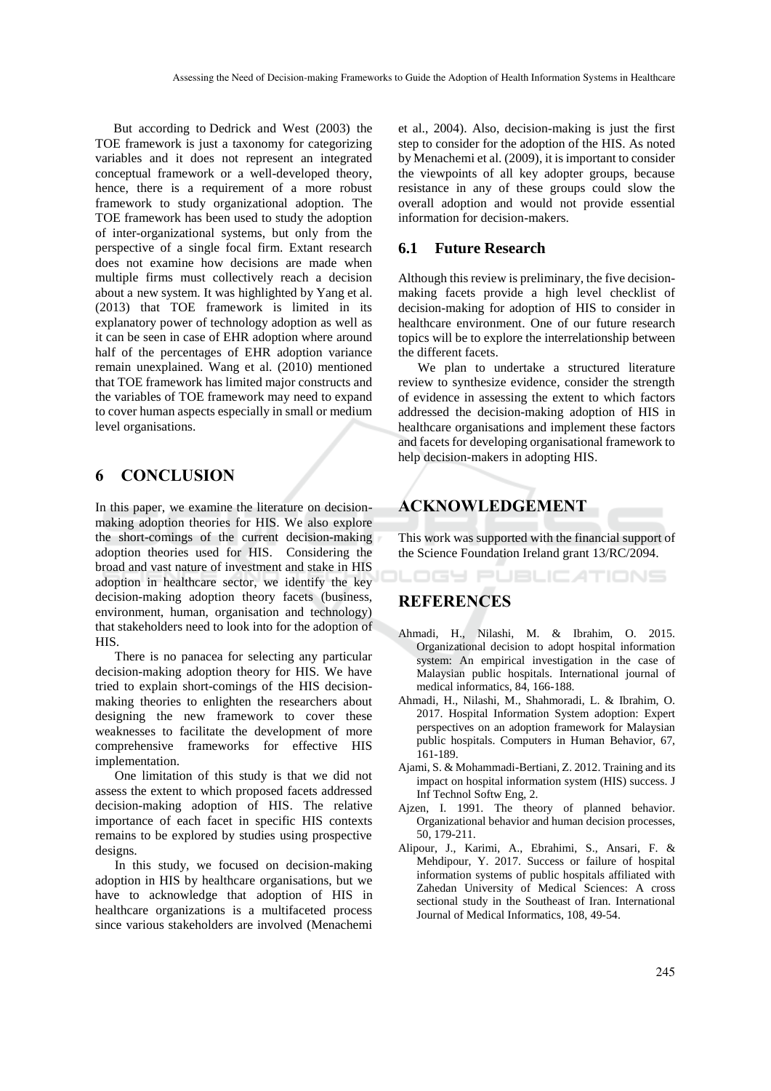But according to Dedrick and West (2003) the TOE framework is just a taxonomy for categorizing variables and it does not represent an integrated conceptual framework or a well-developed theory, hence, there is a requirement of a more robust framework to study organizational adoption. The TOE framework has been used to study the adoption of inter-organizational systems, but only from the perspective of a single focal firm. Extant research does not examine how decisions are made when multiple firms must collectively reach a decision about a new system. It was highlighted by Yang et al. (2013) that TOE framework is limited in its explanatory power of technology adoption as well as it can be seen in case of EHR adoption where around half of the percentages of EHR adoption variance remain unexplained. Wang et al. (2010) mentioned that TOE framework has limited major constructs and the variables of TOE framework may need to expand to cover human aspects especially in small or medium level organisations.

# **6 CONCLUSION**

In this paper, we examine the literature on decisionmaking adoption theories for HIS. We also explore the short-comings of the current decision-making adoption theories used for HIS. Considering the broad and vast nature of investment and stake in HIS adoption in healthcare sector, we identify the key decision-making adoption theory facets (business, environment, human, organisation and technology) that stakeholders need to look into for the adoption of HIS.

There is no panacea for selecting any particular decision-making adoption theory for HIS. We have tried to explain short-comings of the HIS decisionmaking theories to enlighten the researchers about designing the new framework to cover these weaknesses to facilitate the development of more comprehensive frameworks for effective HIS implementation.

One limitation of this study is that we did not assess the extent to which proposed facets addressed decision-making adoption of HIS. The relative importance of each facet in specific HIS contexts remains to be explored by studies using prospective designs.

In this study, we focused on decision-making adoption in HIS by healthcare organisations, but we have to acknowledge that adoption of HIS in healthcare organizations is a multifaceted process since various stakeholders are involved (Menachemi

et al., 2004). Also, decision-making is just the first step to consider for the adoption of the HIS. As noted by Menachemi et al. (2009), it is important to consider the viewpoints of all key adopter groups, because resistance in any of these groups could slow the overall adoption and would not provide essential information for decision-makers.

#### **6.1 Future Research**

Although this review is preliminary, the five decisionmaking facets provide a high level checklist of decision-making for adoption of HIS to consider in healthcare environment. One of our future research topics will be to explore the interrelationship between the different facets.

We plan to undertake a structured literature review to synthesize evidence, consider the strength of evidence in assessing the extent to which factors addressed the decision-making adoption of HIS in healthcare organisations and implement these factors and facets for developing organisational framework to help decision-makers in adopting HIS.

# **ACKNOWLEDGEMENT**

This work was supported with the financial support of the Science Foundation Ireland grant 13/RC/2094.

OGY PUBLIC ATIONS

# **REFERENCES**

- Ahmadi, H., Nilashi, M. & Ibrahim, O. 2015. Organizational decision to adopt hospital information system: An empirical investigation in the case of Malaysian public hospitals. International journal of medical informatics, 84, 166-188.
- Ahmadi, H., Nilashi, M., Shahmoradi, L. & Ibrahim, O. 2017. Hospital Information System adoption: Expert perspectives on an adoption framework for Malaysian public hospitals. Computers in Human Behavior, 67, 161-189.
- Ajami, S. & Mohammadi-Bertiani, Z. 2012. Training and its impact on hospital information system (HIS) success. J Inf Technol Softw Eng, 2.
- Ajzen, I. 1991. The theory of planned behavior. Organizational behavior and human decision processes, 50, 179-211.
- Alipour, J., Karimi, A., Ebrahimi, S., Ansari, F. & Mehdipour, Y. 2017. Success or failure of hospital information systems of public hospitals affiliated with Zahedan University of Medical Sciences: A cross sectional study in the Southeast of Iran. International Journal of Medical Informatics, 108, 49-54.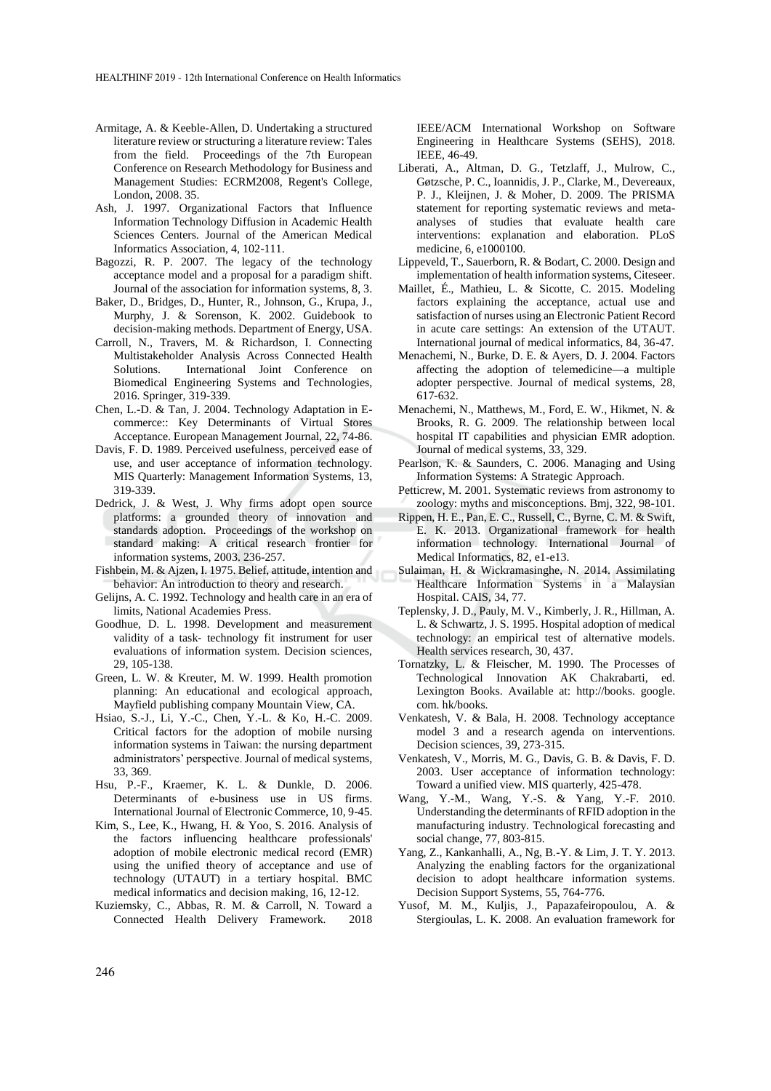- Armitage, A. & Keeble-Allen, D. Undertaking a structured literature review or structuring a literature review: Tales from the field. Proceedings of the 7th European Conference on Research Methodology for Business and Management Studies: ECRM2008, Regent's College, London, 2008. 35.
- Ash, J. 1997. Organizational Factors that Influence Information Technology Diffusion in Academic Health Sciences Centers. Journal of the American Medical Informatics Association, 4, 102-111.
- Bagozzi, R. P. 2007. The legacy of the technology acceptance model and a proposal for a paradigm shift. Journal of the association for information systems, 8, 3.
- Baker, D., Bridges, D., Hunter, R., Johnson, G., Krupa, J., Murphy, J. & Sorenson, K. 2002. Guidebook to decision-making methods. Department of Energy, USA.
- Carroll, N., Travers, M. & Richardson, I. Connecting Multistakeholder Analysis Across Connected Health Solutions. International Joint Conference on Biomedical Engineering Systems and Technologies, 2016. Springer, 319-339.
- Chen, L.-D. & Tan, J. 2004. Technology Adaptation in Ecommerce:: Key Determinants of Virtual Stores Acceptance. European Management Journal, 22, 74-86.
- Davis, F. D. 1989. Perceived usefulness, perceived ease of use, and user acceptance of information technology. MIS Quarterly: Management Information Systems, 13, 319-339.
- Dedrick, J. & West, J. Why firms adopt open source platforms: a grounded theory of innovation and standards adoption. Proceedings of the workshop on standard making: A critical research frontier for information systems, 2003. 236-257.
- Fishbein, M. & Ajzen, I. 1975. Belief, attitude, intention and behavior: An introduction to theory and research.
- Gelijns, A. C. 1992. Technology and health care in an era of limits, National Academies Press.
- Goodhue, D. L. 1998. Development and measurement validity of a task‐ technology fit instrument for user evaluations of information system. Decision sciences, 29, 105-138.
- Green, L. W. & Kreuter, M. W. 1999. Health promotion planning: An educational and ecological approach, Mayfield publishing company Mountain View, CA.
- Hsiao, S.-J., Li, Y.-C., Chen, Y.-L. & Ko, H.-C. 2009. Critical factors for the adoption of mobile nursing information systems in Taiwan: the nursing department administrators' perspective. Journal of medical systems, 33, 369.
- Hsu, P.-F., Kraemer, K. L. & Dunkle, D. 2006. Determinants of e-business use in US firms. International Journal of Electronic Commerce, 10, 9-45.
- Kim, S., Lee, K., Hwang, H. & Yoo, S. 2016. Analysis of the factors influencing healthcare professionals' adoption of mobile electronic medical record (EMR) using the unified theory of acceptance and use of technology (UTAUT) in a tertiary hospital. BMC medical informatics and decision making, 16, 12-12.
- Kuziemsky, C., Abbas, R. M. & Carroll, N. Toward a Connected Health Delivery Framework. 2018

IEEE/ACM International Workshop on Software Engineering in Healthcare Systems (SEHS), 2018. IEEE, 46-49.

- Liberati, A., Altman, D. G., Tetzlaff, J., Mulrow, C., Gøtzsche, P. C., Ioannidis, J. P., Clarke, M., Devereaux, P. J., Kleijnen, J. & Moher, D. 2009. The PRISMA statement for reporting systematic reviews and metaanalyses of studies that evaluate health care interventions: explanation and elaboration. PLoS medicine, 6, e1000100.
- Lippeveld, T., Sauerborn, R. & Bodart, C. 2000. Design and implementation of health information systems, Citeseer.
- Maillet, É., Mathieu, L. & Sicotte, C. 2015. Modeling factors explaining the acceptance, actual use and satisfaction of nurses using an Electronic Patient Record in acute care settings: An extension of the UTAUT. International journal of medical informatics, 84, 36-47.
- Menachemi, N., Burke, D. E. & Ayers, D. J. 2004. Factors affecting the adoption of telemedicine—a multiple adopter perspective. Journal of medical systems, 28, 617-632.
- Menachemi, N., Matthews, M., Ford, E. W., Hikmet, N. & Brooks, R. G. 2009. The relationship between local hospital IT capabilities and physician EMR adoption. Journal of medical systems, 33, 329.
- Pearlson, K. & Saunders, C. 2006. Managing and Using Information Systems: A Strategic Approach.
- Petticrew, M. 2001. Systematic reviews from astronomy to zoology: myths and misconceptions. Bmj, 322, 98-101.
- Rippen, H. E., Pan, E. C., Russell, C., Byrne, C. M. & Swift, E. K. 2013. Organizational framework for health information technology. International Journal of Medical Informatics, 82, e1-e13.
- Sulaiman, H. & Wickramasinghe, N. 2014. Assimilating Healthcare Information Systems in a Malaysian Hospital. CAIS, 34, 77.
- Teplensky, J. D., Pauly, M. V., Kimberly, J. R., Hillman, A. L. & Schwartz, J. S. 1995. Hospital adoption of medical technology: an empirical test of alternative models. Health services research, 30, 437.
- Tornatzky, L. & Fleischer, M. 1990. The Processes of Technological Innovation AK Chakrabarti, ed. Lexington Books. Available at: http://books. google. com. hk/books.
- Venkatesh, V. & Bala, H. 2008. Technology acceptance model 3 and a research agenda on interventions. Decision sciences, 39, 273-315.
- Venkatesh, V., Morris, M. G., Davis, G. B. & Davis, F. D. 2003. User acceptance of information technology: Toward a unified view. MIS quarterly, 425-478.
- Wang, Y.-M., Wang, Y.-S. & Yang, Y.-F. 2010. Understanding the determinants of RFID adoption in the manufacturing industry. Technological forecasting and social change, 77, 803-815.
- Yang, Z., Kankanhalli, A., Ng, B.-Y. & Lim, J. T. Y. 2013. Analyzing the enabling factors for the organizational decision to adopt healthcare information systems. Decision Support Systems, 55, 764-776.
- Yusof, M. M., Kuljis, J., Papazafeiropoulou, A. & Stergioulas, L. K. 2008. An evaluation framework for